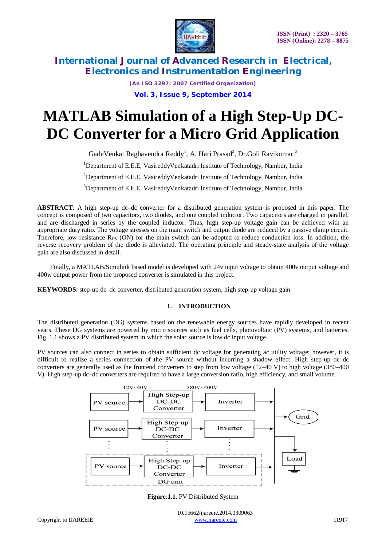

*(An ISO 3297: 2007 Certified Organization)* **Vol. 3, Issue 9, September 2014**

# **MATLAB Simulation of a High Step-Up DC-DC Converter for a Micro Grid Application**

GadeVenkat Raghavendra Reddy<sup>1</sup>, A. Hari Prasad<sup>2</sup>, Dr.Goli Ravikumar  $^3$ <sup>1</sup>Department of E.E.E, VasireddyVenkatadri Institute of Technology, Nambur, India <sup>2</sup>Department of E.E.E, VasireddyVenkatadri Institute of Technology, Nambur, India <sup>3</sup>Department of E.E.E, VasireddyVenkatadri Institute of Technology, Nambur, India

**ABSTRACT**: A high step-up dc–dc converter for a distributed generation system is proposed in this paper. The concept is composed of two capacitors, two diodes, and one coupled inductor. Two capacitors are charged in parallel, and are discharged in series by the coupled inductor. Thus, high step-up voltage gain can be achieved with an appropriate duty ratio. The voltage stresses on the main switch and output diode are reduced by a passive clamp circuit. Therefore, low resistance  $R_{DS}$  (ON) for the main switch can be adopted to reduce conduction loss. In addition, the reverse recovery problem of the diode is alleviated. The operating principle and steady-state analysis of the voltage gain are also discussed in detail.

 Finally, a MATLAB/Simulink based model is developed with 24v input voltage to obtain 400v output voltage and 400w output power from the proposed converter is simulated in this project.

**KEYWORDS**: step-up dc–dc converter, distributed generation system, high step-up voltage gain.

### **1. INTRODUCTION**

The distributed generation (DG) systems based on the renewable energy sources have rapidly developed in recent years. These DG systems are powered by micro sources such as fuel cells, photovoltaic (PV) systems, and batteries. Fig. 1.1 shows a PV distributed system in which the solar source is low dc input voltage.

PV sources can also connect in series to obtain sufficient dc voltage for generating ac utility voltage; however, it is difficult to realize a series connection of the PV source without incurring a shadow effect. High step-up dc–dc converters are generally used as the frontend converters to step from low voltage (12–40 V) to high voltage (380–400 V). High step-up dc–dc converters are required to have a large conversion ratio, high efficiency, and small volume.



**Figure.1.1**. PV Distributed System

 10.15662/ijareeie.2014.0309063 Copyright to UAREEIE www.ijareeie.com 11917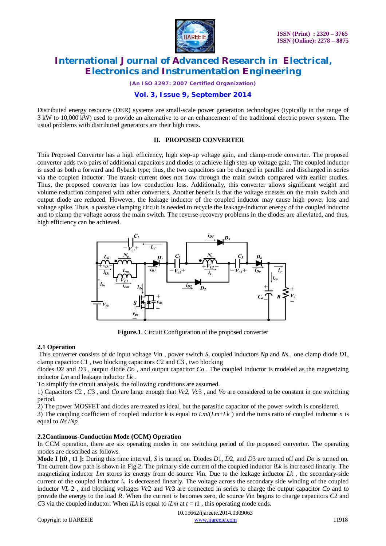

*(An ISO 3297: 2007 Certified Organization)*

### **Vol. 3, Issue 9, September 2014**

Distributed energy resource (DER) systems are small-scale power generation technologies (typically in the range of 3 kW to 10,000 kW) used to provide an alternative to or an enhancement of the traditional electric power system. The usual problems with distributed generators are their high costs.

#### **II. PROPOSED CONVERTER**

This Proposed Converter has a high efficiency, high step-up voltage gain, and clamp-mode converter. The proposed converter adds two pairs of additional capacitors and diodes to achieve high step-up voltage gain. The coupled inductor is used as both a forward and flyback type; thus, the two capacitors can be charged in parallel and discharged in series via the coupled inductor. The transit current does not flow through the main switch compared with earlier studies. Thus, the proposed converter has low conduction loss. Additionally, this converter allows significant weight and volume reduction compared with other converters. Another benefit is that the voltage stresses on the main switch and output diode are reduced. However, the leakage inductor of the coupled inductor may cause high power loss and voltage spike. Thus, a passive clamping circuit is needed to recycle the leakage-inductor energy of the coupled inductor and to clamp the voltage across the main switch. The reverse-recovery problems in the diodes are alleviated, and thus, high efficiency can be achieved.



**Figure.1**. Circuit Configuration of the proposed converter

#### **2.1 Operation**

This converter consists of dc input voltage *V*in , power switch *S*, coupled inductors *Np* and *Ns* , one clamp diode *D*1, clamp capacitor *C*1 , two blocking capacitors *C*2 and *C*3 , two blocking

diodes *D*2 and *D*3 , output diode *Do* , and output capacitor *Co* . The coupled inductor is modeled as the magnetizing inductor *Lm* and leakage inductor *Lk* .

To simplify the circuit analysis, the following conditions are assumed.

1) Capacitors *C*2 , *C*3 , and *Co* are large enough that *Vc2*, *Vc*3 , and *Vo* are considered to be constant in one switching period.

2) The power MOSFET and diodes are treated as ideal, but the parasitic capacitor of the power switch is considered.

3) The coupling coefficient of coupled inductor *k* is equal to *Lm*/(*Lm*+*Lk* ) and the turns ratio of coupled inductor *n* is equal to *Ns* /*Np.*

#### **2.2Continuous-Conduction Mode (CCM) Operation**

In CCM operation, there are six operating modes in one switching period of the proposed converter. The operating modes are described as follows.

**Mode I [t0 , t1 ]:** During this time interval, *S* is turned on. Diodes *D*1, *D*2, and *D*3 are turned off and *Do* is turned on. The current-flow path is shown in Fig.2. The primary-side current of the coupled inductor *iLk* is increased linearly. The magnetizing inductor  $Lm$  stores its energy from dc source Vin. Due to the leakage inductor  $Lk$ , the secondary-side current of the coupled inductor  $i<sub>s</sub>$  is decreased linearly. The voltage across the secondary side winding of the coupled inductor *VL* 2 , and blocking voltages *Vc*2 and *Vc*3 are connected in series to charge the output capacitor *Co* and to provide the energy to the load *R*. When the current *is* becomes zero, dc source *V*in begins to charge capacitors *C*2 and *C*3 via the coupled inductor. When *iLk* is equal to *iLm* at  $t = t_1$ , this operating mode ends.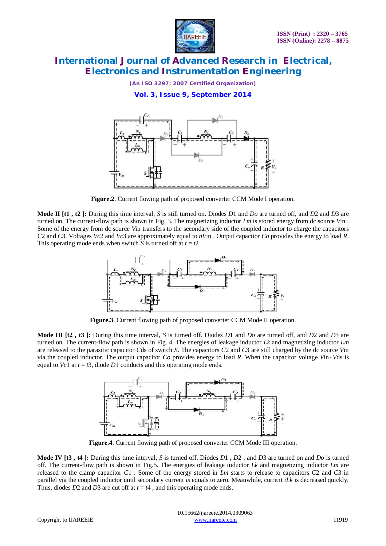

*(An ISO 3297: 2007 Certified Organization)*

**Vol. 3, Issue 9, September 2014**



**Figure.2**. Current flowing path of proposed converter CCM Mode I operation.

**Mode II [t1 , t2 ]:** During this time interval, *S* is still turned on. Diodes *D*1 and *Do* are turned off, and *D*2 and *D*3 are turned on. The current-flow path is shown in Fig. 3. The magnetizing inductor *Lm* is stored energy from dc source *V*in . Some of the energy from dc source *V*in transfers to the secondary side of the coupled inductor to charge the capacitors *C*2 and *C*3. Voltages *Vc*2 and *Vc*3 are approximately equal to *nV*in . Output capacitor *Co* provides the energy to load *R*. This operating mode ends when switch *S* is turned off at  $t = t^2$ .



**Figure.3**. Current flowing path of proposed converter CCM Mode II operation.

**Mode III [t2 , t3 ]:** During this time interval, *S* is turned off. Diodes *D*1 and *Do* are turned off, and *D*2 and *D*3 are turned on. The current-flow path is shown in Fig. 4. The energies of leakage inductor *Lk* and magnetizing inductor *Lm*  are released to the parasitic capacitor *C*ds of switch *S*. The capacitors *C*2 and *C*3 are still charged by the dc source *V*in via the coupled inductor. The output capacitor *Co* provides energy to load *R*. When the capacitor voltage *V*in+*V*ds is equal to  $Vc1$  at  $t = t3$ , diode  $D1$  conducts and this operating mode ends.



**Figure.4**. Current flowing path of proposed converter CCM Mode III operation.

**Mode IV [t3 , t4 ]:** During this time interval, *S* is turned off. Diodes *D*1 , *D*2 , and *D*3 are turned on and *Do* is turned off. The current-flow path is shown in Fig.5. The energies of leakage inductor *Lk* and magnetizing inductor *Lm* are released to the clamp capacitor *C*1 . Some of the energy stored in *Lm* starts to release to capacitors *C*2 and *C*3 in parallel via the coupled inductor until secondary current *is* equals to zero. Meanwhile, current *iLk* is decreased quickly. Thus, diodes *D*2 and *D*3 are cut off at  $t = t4$ , and this operating mode ends.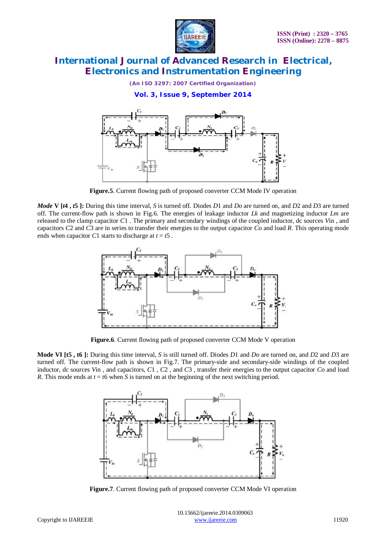

*(An ISO 3297: 2007 Certified Organization)*

**Vol. 3, Issue 9, September 2014**



**Figure.5**. Current flowing path of proposed converter CCM Mode IV operation

*Mode* **V [***t***4 ,** *t***5 ]:** During this time interval, *S* is turned off. Diodes *D*1 and *Do* are turned on, and *D*2 and *D*3 are turned off. The current-flow path is shown in Fig.6. The energies of leakage inductor *Lk* and magnetizing inductor *Lm* are released to the clamp capacitor *C*1 . The primary and secondary windings of the coupled inductor, dc sources *V*in , and capacitors *C*2 and *C*3 are in series to transfer their energies to the output capacitor *Co* and load *R*. This operating mode ends when capacitor *C*1 starts to discharge at  $t = t$ 5.



**Figure.6**. Current flowing path of proposed converter CCM Mode V operation

**Mode VI [t5 , t6 ]:** During this time interval, *S* is still turned off. Diodes *D*1 and *Do* are turned on, and *D*2 and *D*3 are turned off. The current-flow path is shown in Fig.7. The primary-side and secondary-side windings of the coupled inductor, dc sources *V*in , and capacitors, *C*1 , *C*2 , and *C*3 , transfer their energies to the output capacitor *Co* and load *R*. This mode ends at  $t = t6$  when *S* is turned on at the beginning of the next switching period.



**Figure.7**. Current flowing path of proposed converter CCM Mode VI operation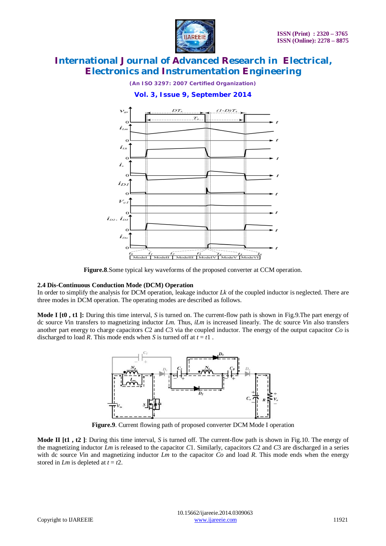



### **Vol. 3, Issue 9, September 2014**



**Figure.8**.Some typical key waveforms of the proposed converter at CCM operation.

#### **2.4 Dis-Continuous Conduction Mode (DCM) Operation**

In order to simplify the analysis for DCM operation, leakage inductor *Lk* of the coupled inductor is neglected. There are three modes in DCM operation. The operating modes are described as follows.

**Mode I [t0 , t1 ]:** During this time interval, *S* is turned on. The current-flow path is shown in Fig.9.The part energy of dc source *V*in transfers to magnetizing inductor *Lm*. Thus, *iLm* is increased linearly. The dc source *V*in also transfers another part energy to charge capacitors *C*2 and *C*3 via the coupled inductor. The energy of the output capacitor *Co* is discharged to load *R*. This mode ends when *S* is turned off at  $t = t1$ .



**Figure.9**. Current flowing path of proposed converter DCM Mode I operation

**Mode II [t1 , t2 ]**: During this time interval, *S* is turned off. The current-flow path is shown in Fig.10. The energy of the magnetizing inductor *Lm* is released to the capacitor *C*1. Similarly, capacitors *C*2 and *C*3 are discharged in a series with dc source *V*in and magnetizing inductor *Lm* to the capacitor *Co* and load *R*. This mode ends when the energy stored in *Lm* is depleted at  $t = t2$ .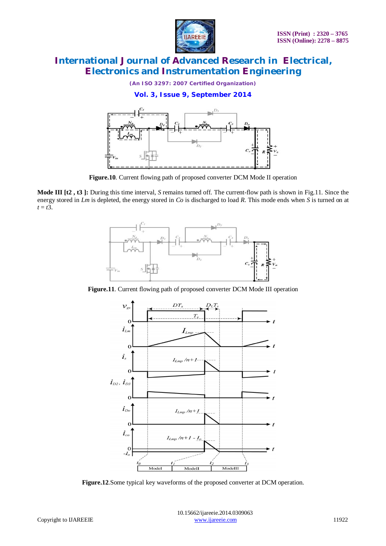

*(An ISO 3297: 2007 Certified Organization)*

**Vol. 3, Issue 9, September 2014**



**Figure.10**. Current flowing path of proposed converter DCM Mode II operation

**Mode III [t2 , t3 ]:** During this time interval, *S* remains turned off. The current-flow path is shown in Fig.11. Since the energy stored in *Lm* is depleted, the energy stored in *Co* is discharged to load *R*. This mode ends when *S* is turned on at  $t = t3$ .



**Figure.11**. Current flowing path of proposed converter DCM Mode III operation



**Figure.12**.Some typical key waveforms of the proposed converter at DCM operation.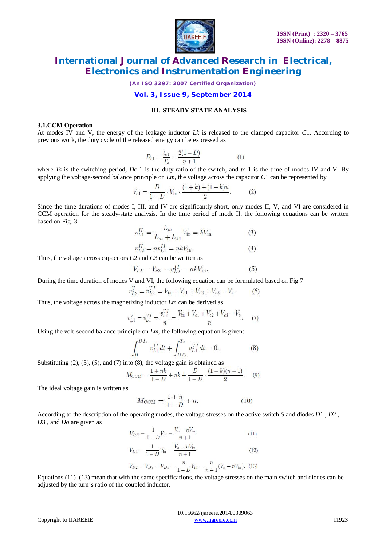

*(An ISO 3297: 2007 Certified Organization)*

### **Vol. 3, Issue 9, September 2014**

#### **III. STEADY STATE ANALYSIS**

#### **3.1.CCM Operation**

At modes IV and V, the energy of the leakage inductor *Lk* is released to the clamped capacitor *C*1. According to previous work, the duty cycle of the released energy can be expressed as

$$
D_{c1} = \frac{t_{c1}}{T_s} = \frac{2(1 - D)}{n + 1} \tag{1}
$$

where *Ts* is the switching period, *Dc* 1 is the duty ratio of the switch, and *tc* 1 is the time of modes IV and V. By applying the voltage-second balance principle on *Lm*, the voltage across the capacitor *C*1 can be represented by

$$
V_{c1} = \frac{D}{1 - D} \cdot V_{\text{in}} \cdot \frac{(1 + k) + (1 - k)n}{2}.
$$
 (2)

Since the time durations of modes I, III, and IV are significantly short, only modes II, V, and VI are considered in CCM operation for the steady-state analysis. In the time period of mode II, the following equations can be written based on Fig. 3.

$$
v_{L1}^{II} = \frac{L_m}{L_m + L_{k1}} V_{\text{in}} = kV_{\text{in}} \tag{3}
$$

$$
v_{L2}^{II} = nv_{L1}^{II} = nkV_{\text{in}}.
$$
 (4)

Thus, the voltage across capacitors *C*2 and *C*3 can be written as

$$
V_{c2} = V_{c3} = v_{L2}^{II} = nkV_{\rm in}.
$$
 (5)

During the time duration of modes V and VI, the following equation can be formulated based on Fig.7

$$
v_{L2}^V = v_{L2}^V = V_{\text{in}} + V_{c1} + V_{c2} + V_{c3} - V_o.
$$
 (6)

Thus, the voltage across the magnetizing inductor *Lm* can be derived as

$$
v_{L1}^V = v_{L1}^{VI} = \frac{v_{L2}^{VI}}{n} = \frac{V_{\text{in}} + V_{c1} + V_{c2} + V_{c3} - V_o}{n}.
$$
 (7)

Using the volt-second balance principle on *Lm*, the following equation is given:

$$
\int_0^{DT_s} v_{L1}^{II} dt + \int_{DT_s}^{T_s} v_{L1}^{VI} dt = 0.
$$
 (8)

Substituting  $(2)$ ,  $(3)$ ,  $(5)$ , and  $(7)$  into  $(8)$ , the voltage gain is obtained as

$$
M_{\text{CCM}} = \frac{1 + nk}{1 - D} + nk + \frac{D}{1 - D} \cdot \frac{(1 - k)(n - 1)}{2}.
$$
 (9)

The ideal voltage gain is written as

$$
M_{\text{CCM}} = \frac{1+n}{1-D} + n. \tag{10}
$$

According to the description of the operating modes, the voltage stresses on the active switch *S* and diodes *D*1 , *D*2 , *D*3 , and *Do* are given as

$$
V_{DS} = \frac{1}{1 - D} V_{\text{in}} = \frac{V_o - nV_{\text{in}}}{n + 1}
$$
\n(11)

$$
V_{D1} = \frac{1}{1 - D} V_{\text{in}} = \frac{V_o - nV_{\text{in}}}{n + 1}
$$
\n(12)

$$
V_{D2} = V_{D3} = V_{Do} = \frac{n}{1 - D} V_{in} = \frac{n}{n + 1} (V_o - nV_{in}). \tag{13}
$$

Equations (11)–(13) mean that with the same specifications, the voltage stresses on the main switch and diodes can be adjusted by the turn's ratio of the coupled inductor.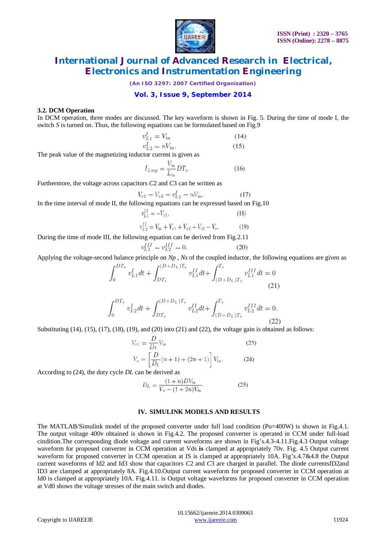

*(An ISO 3297: 2007 Certified Organization)*

### **Vol. 3, Issue 9, September 2014**

#### **3.2. DCM Operation**

In DCM operation, three modes are discussed. The key waveform is shown in Fig. 5. During the time of mode I, the switch *S* is turned on. Thus, the following equations can be formulated based on Fig.9

$$
v_{L1}^I = V_{\text{in}} \tag{14}
$$

$$
v_{L2}^I = nV_{\text{in}}.\tag{15}
$$

The peak value of the magnetizing inductor current is given as

$$
I_{Lmp} = \frac{V_{\text{in}}}{L_m} DT_s. \tag{16}
$$

Furthermore, the voltage across capacitors *C*2 and *C*3 can be written as

$$
V_{c2} = V_{c3} = v_{L2}^I = nV_{\rm in}.
$$
 (17)

In the time interval of mode II, the following equations can be expressed based on Fig.10

$$
v_{L1}^{II} = -V_{c1},
$$
\n
$$
v_{L2}^{II} = V_{in} + V_{c1} + V_{c2} + V_{c3} - V_o.
$$
\n(18)

During the time of mode III, the following equation can be derived from Fig.2.11

$$
v_{L1}^{t11} = v_{L2}^{t11} = 0. \tag{20}
$$

Applying the voltage-second balance principle on *Np* , *Ns* of the coupled inductor, the following equations are given as

$$
\int_{0}^{DT_{s}} v_{L1}^{I} dt + \int_{DT_{s}}^{(D+D_{L})T_{s}} v_{L1}^{II} dt + \int_{(D+D_{L})T_{s}}^{T_{s}} v_{L1}^{III} dt = 0
$$
\n(21)

$$
\int_0^{DT_s} v_{L2}^I dt + \int_{DT_s}^{(D+D_L)T_s} v_{L2}^{II} dt + \int_{(D+D_L)T_s}^{T_s} v_{L2}^{III} dt = 0.
$$
\n(22)

Substituting  $(14)$ ,  $(15)$ ,  $(17)$ ,  $(18)$ ,  $(19)$ , and  $(20)$  into  $(21)$  and  $(22)$ , the voltage gain is obtained as follows:

$$
V_{c1} = \frac{D}{D_L} V_{in}
$$
\n
$$
V_o = \left[ \frac{D}{D_L} (n+1) + (2n+1) \right] V_{in}.
$$
\n(23)

According to (24), the duty cycle *DL* can be derived as

$$
D_L = \frac{(1+n)DV_{\text{in}}}{V_o - (1+2n)V_{\text{in}}}.
$$
\n(25)

#### **IV. SIMULINK MODELS AND RESULTS**

The MATLAB/Simulink model of the proposed converter under full load condition (Po=400W) is shown in Fig.4.1. The output voltage 400v obtained is shown in Fig.4.2. The proposed converter is operated in CCM under full-load cindition.The corresponding diode voltage and current waveforms are shown in Fig's.4.3-4.11.Fig.4.3 Output voltage waveform for proposed converter in CCM operation at Vds **is** clamped at appropriately 70v. Fig. 4.5 Output current waveform for proposed converter in CCM operation at IS is clamped at appropriately 10A. Fig's.4.7&4.8 the Output current waveforms of Id2 and Id3 show that capacitors *C*2 and *C*3 are charged in parallel. The diode currentsID2and ID3 are clamped at appropriately 8A. Fig.4.10.Output current waveform for proposed converter in CCM operation at Id0 is clamped at appropriately 10A. Fig.4.11. is Output voltage waveforms for proposed converter in CCM operation at Vd0 shows the voltage stresses of the main switch and diodes.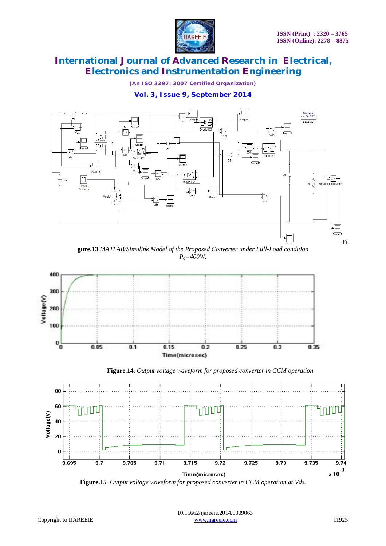

*(An ISO 3297: 2007 Certified Organization)*

**Vol. 3, Issue 9, September 2014**







 **Figure.14.** *Output voltage waveform for proposed converter in CCM operation*



**Figure.15***. Output voltage waveform for proposed converter in CCM operation at Vds.*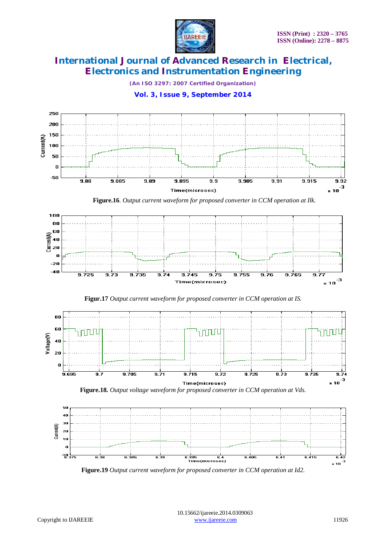

*(An ISO 3297: 2007 Certified Organization)*

**Vol. 3, Issue 9, September 2014**



**Figure.19** *Output current waveform for proposed converter in CCM operation at Id2*.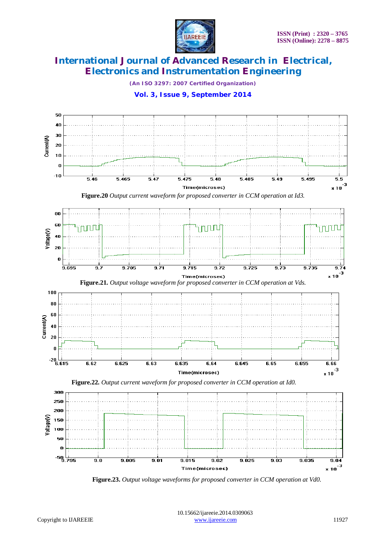

*(An ISO 3297: 2007 Certified Organization)*





 **Figure.23.** *Output voltage waveforms for proposed converter in CCM operation at Vd0.*